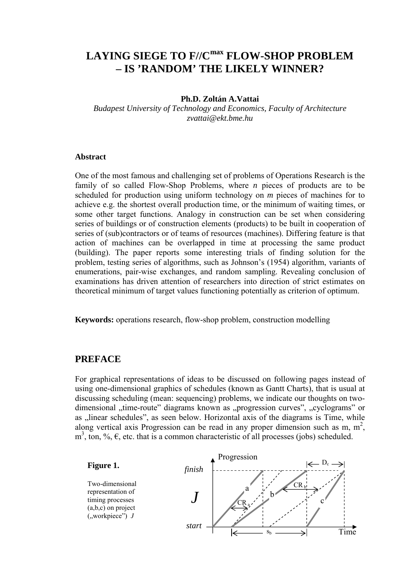# **LAYING SIEGE TO F//Cmax FLOW-SHOP PROBLEM – IS 'RANDOM' THE LIKELY WINNER?**

#### **Ph.D. Zoltán A.Vattai**

*Budapest University of Technology and Economics, Faculty of Architecture zvattai@ekt.bme.hu* 

#### **Abstract**

One of the most famous and challenging set of problems of Operations Research is the family of so called Flow-Shop Problems, where *n* pieces of products are to be scheduled for production using uniform technology on *m* pieces of machines for to achieve e.g. the shortest overall production time, or the minimum of waiting times, or some other target functions. Analogy in construction can be set when considering series of buildings or of construction elements (products) to be built in cooperation of series of (sub)contractors or of teams of resources (machines). Differing feature is that action of machines can be overlapped in time at processing the same product (building). The paper reports some interesting trials of finding solution for the problem, testing series of algorithms, such as Johnson's (1954) algorithm, variants of enumerations, pair-wise exchanges, and random sampling. Revealing conclusion of examinations has driven attention of researchers into direction of strict estimates on theoretical minimum of target values functioning potentially as criterion of optimum.

**Keywords:** operations research, flow-shop problem, construction modelling

### **PREFACE**

For graphical representations of ideas to be discussed on following pages instead of using one-dimensional graphics of schedules (known as Gantt Charts), that is usual at discussing scheduling (mean: sequencing) problems, we indicate our thoughts on twodimensional "time-route" diagrams known as "progression curves", "cyclograms" or as "linear schedules", as seen below. Horizontal axis of the diagrams is Time, while along vertical axis Progression can be read in any proper dimension such as m,  $m^2$ ,  $m<sup>3</sup>$ , ton, %,  $\epsilon$ , etc. that is a common characteristic of all processes (jobs) scheduled.

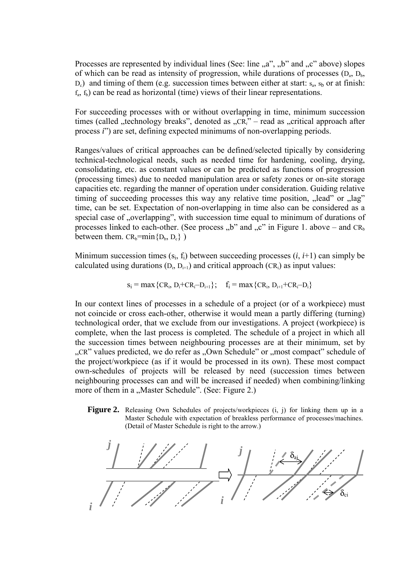Processes are represented by individual lines (See: line  $\alpha$ ,  $\alpha$ ",  $\beta$ " and  $\alpha$ " above) slopes of which can be read as intensity of progression, while durations of processes  $(D_a, D_b, D_b)$  $D_c$ ) and timing of them (e.g. succession times between either at start:  $s_a$ ,  $s_b$  or at finish:  $f_a$ ,  $f_b$ ) can be read as horizontal (time) views of their linear representations.

For succeeding processes with or without overlapping in time, minimum succession times (called , technology breaks", denoted as  $R_i$ <sup>"</sup> – read as  $R_i$ " eratical approach after process *i*") are set, defining expected minimums of non-overlapping periods.

Ranges/values of critical approaches can be defined/selected tipically by considering technical-technological needs, such as needed time for hardening, cooling, drying, consolidating, etc. as constant values or can be predicted as functions of progression (processing times) due to needed manipulation area or safety zones or on-site storage capacities etc. regarding the manner of operation under consideration. Guiding relative timing of succeeding processes this way any relative time position, "lead" or "lag" time, can be set. Expectation of non-overlapping in time also can be considered as a special case of "overlapping", with succession time equal to minimum of durations of processes linked to each-other. (See process  $b^{\prime\prime}$  and  $c^{\prime\prime}$  in Figure 1. above – and CR<sub>b</sub> between them.  $CR_b=min\{D_b, D_c\}$ )

Minimum succession times  $(s_i, f_i)$  between succeeding processes  $(i, i+1)$  can simply be calculated using durations  $(D_i, D_{i+1})$  and critical approach  $(CR_i)$  as input values:

$$
s_i = \max \{CR_i, D_i + CR_i - D_{i+1}\}; \quad f_i = \max \{CR_i, D_{i+1} + CR_i - D_i\}
$$

In our context lines of processes in a schedule of a project (or of a workpiece) must not coincide or cross each-other, otherwise it would mean a partly differing (turning) technological order, that we exclude from our investigations. A project (workpiece) is complete, when the last process is completed. The schedule of a project in which all the succession times between neighbouring processes are at their minimum, set by "CR" values predicted, we do refer as "Own Schedule" or "most compact" schedule of the project/workpiece (as if it would be processed in its own). These most compact own-schedules of projects will be released by need (succession times between neighbouring processes can and will be increased if needed) when combining/linking more of them in a "Master Schedule". (See: Figure 2.)

**Figure 2.** Releasing Own Schedules of projects/workpieces (i, j) for linking them up in a Master Schedule with expectation of breakless performance of processes/machines. (Detail of Master Schedule is right to the arrow.)

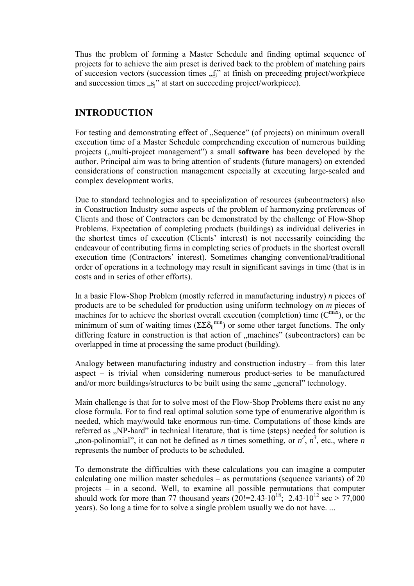Thus the problem of forming a Master Schedule and finding optimal sequence of projects for to achieve the aim preset is derived back to the problem of matching pairs of succession vectors (succession times  $\Lambda$ <sup>i</sup>" at finish on preceeding project/workpiece and succession times  $\sqrt{s}$ " at start on succeeding project/workpiece).

# **INTRODUCTION**

For testing and demonstrating effect of "Sequence" (of projects) on minimum overall execution time of a Master Schedule comprehending execution of numerous building projects (,,multi-project management") a small **software** has been developed by the author. Principal aim was to bring attention of students (future managers) on extended considerations of construction management especially at executing large-scaled and complex development works.

Due to standard technologies and to specialization of resources (subcontractors) also in Construction Industry some aspects of the problem of harmonyzing preferences of Clients and those of Contractors can be demonstrated by the challenge of Flow-Shop Problems. Expectation of completing products (buildings) as individual deliveries in the shortest times of execution (Clients' interest) is not necessarily coinciding the endeavour of contributing firms in completing series of products in the shortest overall execution time (Contractors' interest). Sometimes changing conventional/traditional order of operations in a technology may result in significant savings in time (that is in costs and in series of other efforts).

In a basic Flow-Shop Problem (mostly referred in manufacturing industry) *n* pieces of products are to be scheduled for production using uniform technology on *m* pieces of machines for to achieve the shortest overall execution (completion) time  $(C^{max})$ , or the minimum of sum of waiting times  $(\Sigma \Sigma \delta_{ij}^{min})$  or some other target functions. The only differing feature in construction is that action of "machines" (subcontractors) can be overlapped in time at processing the same product (building).

Analogy between manufacturing industry and construction industry – from this later aspect – is trivial when considering numerous product-series to be manufactured and/or more buildings/structures to be built using the same "general" technology.

Main challenge is that for to solve most of the Flow-Shop Problems there exist no any close formula. For to find real optimal solution some type of enumerative algorithm is needed, which may/would take enormous run-time. Computations of those kinds are referred as ..NP-hard" in technical literature, that is time (steps) needed for solution is ,,non-polinomial", it can not be defined as *n* times something, or  $n^2$ ,  $n^3$ , etc., where *n* represents the number of products to be scheduled.

To demonstrate the difficulties with these calculations you can imagine a computer calculating one million master schedules – as permutations (sequence variants) of 20 projects – in a second. Well, to examine all possible permutations that computer should work for more than 77 thousand years  $(20! = 2.43 \cdot 10^{18})$ ; 2.43 $\cdot 10^{12}$  sec  $> 77,000$ years). So long a time for to solve a single problem usually we do not have. ...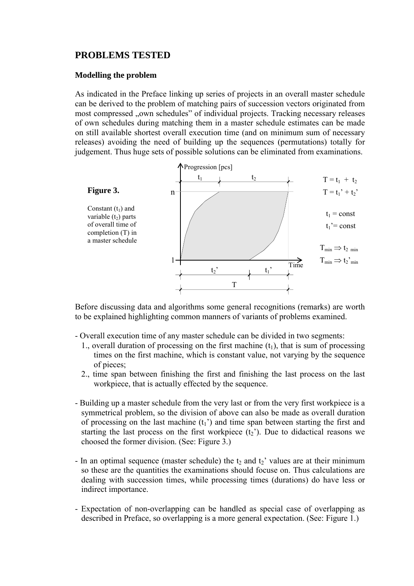# **PROBLEMS TESTED**

### **Modelling the problem**

As indicated in the Preface linking up series of projects in an overall master schedule can be derived to the problem of matching pairs of succession vectors originated from most compressed "own schedules" of individual projects. Tracking necessary releases of own schedules during matching them in a master schedule estimates can be made on still available shortest overall execution time (and on minimum sum of necessary releases) avoiding the need of building up the sequences (permutations) totally for judgement. Thus huge sets of possible solutions can be eliminated from examinations.



Before discussing data and algorithms some general recognitions (remarks) are worth to be explained highlighting common manners of variants of problems examined.

- Overall execution time of any master schedule can be divided in two segments:
	- 1., overall duration of processing on the first machine  $(t_1)$ , that is sum of processing times on the first machine, which is constant value, not varying by the sequence of pieces;
	- 2., time span between finishing the first and finishing the last process on the last workpiece, that is actually effected by the sequence.
- Building up a master schedule from the very last or from the very first workpiece is a symmetrical problem, so the division of above can also be made as overall duration of processing on the last machine  $(t_1)$  and time span between starting the first and starting the last process on the first workpiece  $(t_2)$ . Due to didactical reasons we choosed the former division. (See: Figure 3.)
- In an optimal sequence (master schedule) the  $t_2$  and  $t_2$ ' values are at their minimum so these are the quantities the examinations should focuse on. Thus calculations are dealing with succession times, while processing times (durations) do have less or indirect importance.
- Expectation of non-overlapping can be handled as special case of overlapping as described in Preface, so overlapping is a more general expectation. (See: Figure 1.)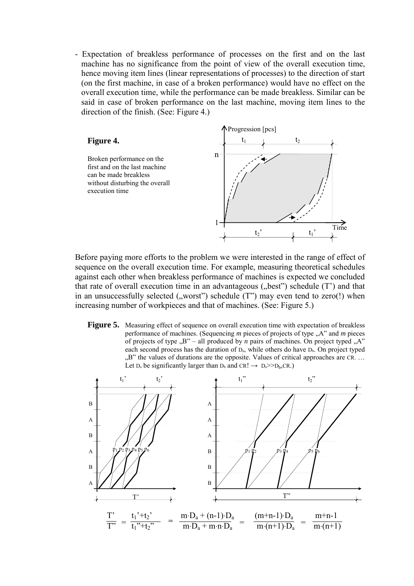- Expectation of breakless performance of processes on the first and on the last machine has no significance from the point of view of the overall execution time, hence moving item lines (linear representations of processes) to the direction of start (on the first machine, in case of a broken performance) would have no effect on the overall execution time, while the performance can be made breakless. Similar can be said in case of broken performance on the last machine, moving item lines to the direction of the finish. (See: Figure 4.)



Before paying more efforts to the problem we were interested in the range of effect of sequence on the overall execution time. For example, measuring theoretical schedules against each other when breakless performance of machines is expected we concluded that rate of overall execution time in an advantageous  $($ "best") schedule  $(T')$  and that in an unsuccessfully selected  $($ , worst" $)$  schedule  $(T$ " $)$  may even tend to zero $(!)$  when increasing number of workpieces and that of machines. (See: Figure 5.)

**Figure 5.** Measuring effect of sequence on overall execution time with expectation of breakless performance of machines. (Sequencing *m* pieces of projects of type "A" and *m* pieces of projects of type  $B''$  – all produced by *n* pairs of machines. On project typed  $A''$ each second process has the duration of  $D_a$ , while others do have  $D_b$ . On project typed  $B$ " the values of durations are the opposite. Values of critical approaches are CR. ... Let  $D_a$  be significantly larger than  $D_b$  and  $CR! \rightarrow D_a \gg D_b, CR$ .)

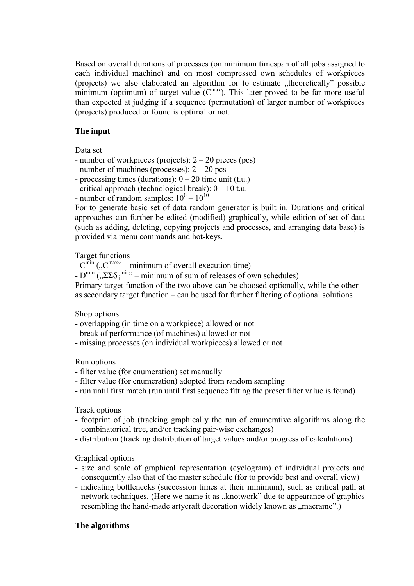Based on overall durations of processes (on minimum timespan of all jobs assigned to each individual machine) and on most compressed own schedules of workpieces (projects) we also elaborated an algorithm for to estimate "theoretically" possible minimum (optimum) of target value  $(C<sup>max</sup>)$ . This later proved to be far more useful than expected at judging if a sequence (permutation) of larger number of workpieces (projects) produced or found is optimal or not.

# **The input**

Data set

- number of workpieces (projects):  $2 20$  pieces (pcs)
- number of machines (processes): 2 20 pcs
- processing times (durations):  $0 20$  time unit (t.u.)
- critical approach (technological break):  $0 10$  t.u.
- number of random samples:  $10^0 10^{10}$

For to generate basic set of data random generator is built in. Durations and critical approaches can further be edited (modified) graphically, while edition of set of data (such as adding, deleting, copying projects and processes, and arranging data base) is provided via menu commands and hot-keys.

# Target functions

- $-C^{\min}$  ( $\,^{\text{max}}$  minimum of overall execution time)
- $D^{min}$  (, $\Sigma \Sigma \delta_{ij}$ <sup>min</sup><sup>2</sup> minimum of sum of releases of own schedules)

Primary target function of the two above can be choosed optionally, while the other – as secondary target function – can be used for further filtering of optional solutions

# Shop options

- overlapping (in time on a workpiece) allowed or not
- break of performance (of machines) allowed or not
- missing processes (on individual workpieces) allowed or not

# Run options

- filter value (for enumeration) set manually
- filter value (for enumeration) adopted from random sampling
- run until first match (run until first sequence fitting the preset filter value is found)

# Track options

- footprint of job (tracking graphically the run of enumerative algorithms along the combinatorical tree, and/or tracking pair-wise exchanges)
- distribution (tracking distribution of target values and/or progress of calculations)

# Graphical options

- size and scale of graphical representation (cyclogram) of individual projects and consequently also that of the master schedule (for to provide best and overall view)
- indicating bottlenecks (succession times at their minimum), such as critical path at network techniques. (Here we name it as "knotwork" due to appearance of graphics resembling the hand-made artycraft decoration widely known as "macrame".)

# **The algorithms**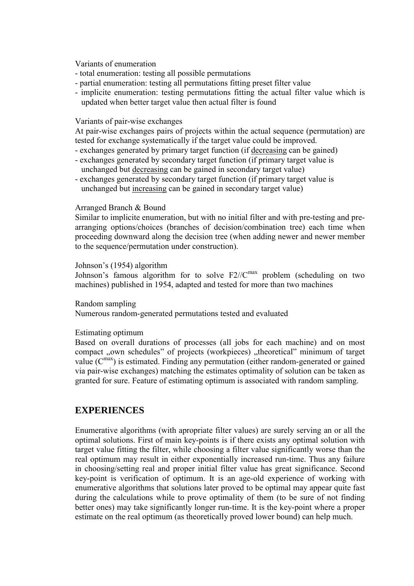Variants of enumeration

- total enumeration: testing all possible permutations
- partial enumeration: testing all permutations fitting preset filter value
- implicite enumeration: testing permutations fitting the actual filter value which is updated when better target value then actual filter is found

### Variants of pair-wise exchanges

At pair-wise exchanges pairs of projects within the actual sequence (permutation) are tested for exchange systematically if the target value could be improved.

- exchanges generated by primary target function (if decreasing can be gained)
- exchanges generated by secondary target function (if primary target value is unchanged but decreasing can be gained in secondary target value)
- exchanges generated by secondary target function (if primary target value is unchanged but increasing can be gained in secondary target value)

### Arranged Branch & Bound

Similar to implicite enumeration, but with no initial filter and with pre-testing and prearranging options/choices (branches of decision/combination tree) each time when proceeding downward along the decision tree (when adding newer and newer member to the sequence/permutation under construction).

#### Johnson's (1954) algorithm

Johnson's famous algorithm for to solve  $F2//C^{max}$  problem (scheduling on two machines) published in 1954, adapted and tested for more than two machines

#### Random sampling

Numerous random-generated permutations tested and evaluated

#### Estimating optimum

Based on overall durations of processes (all jobs for each machine) and on most compact "own schedules" of projects (workpieces) "theoretical" minimum of target value  $(C^{max})$  is estimated. Finding any permutation (either random-generated or gained via pair-wise exchanges) matching the estimates optimality of solution can be taken as granted for sure. Feature of estimating optimum is associated with random sampling.

# **EXPERIENCES**

Enumerative algorithms (with apropriate filter values) are surely serving an or all the optimal solutions. First of main key-points is if there exists any optimal solution with target value fitting the filter, while choosing a filter value significantly worse than the real optimum may result in either exponentially increased run-time. Thus any failure in choosing/setting real and proper initial filter value has great significance. Second key-point is verification of optimum. It is an age-old experience of working with enumerative algorithms that solutions later proved to be optimal may appear quite fast during the calculations while to prove optimality of them (to be sure of not finding better ones) may take significantly longer run-time. It is the key-point where a proper estimate on the real optimum (as theoretically proved lower bound) can help much.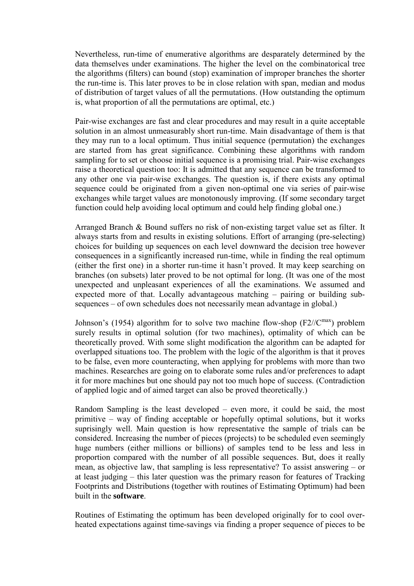Nevertheless, run-time of enumerative algorithms are desparately determined by the data themselves under examinations. The higher the level on the combinatorical tree the algorithms (filters) can bound (stop) examination of improper branches the shorter the run-time is. This later proves to be in close relation with span, median and modus of distribution of target values of all the permutations. (How outstanding the optimum is, what proportion of all the permutations are optimal, etc.)

Pair-wise exchanges are fast and clear procedures and may result in a quite acceptable solution in an almost unmeasurably short run-time. Main disadvantage of them is that they may run to a local optimum. Thus initial sequence (permutation) the exchanges are started from has great significance. Combining these algorithms with random sampling for to set or choose initial sequence is a promising trial. Pair-wise exchanges raise a theoretical question too: It is admitted that any sequence can be transformed to any other one via pair-wise exchanges. The question is, if there exists any optimal sequence could be originated from a given non-optimal one via series of pair-wise exchanges while target values are monotonously improving. (If some secondary target function could help avoiding local optimum and could help finding global one.)

Arranged Branch & Bound suffers no risk of non-existing target value set as filter. It always starts from and results in existing solutions. Effort of arranging (pre-selecting) choices for building up sequences on each level downward the decision tree however consequences in a significantly increased run-time, while in finding the real optimum (either the first one) in a shorter run-time it hasn't proved. It may keep searching on branches (on subsets) later proved to be not optimal for long. (It was one of the most unexpected and unpleasant experiences of all the examinations. We assumed and expected more of that. Locally advantageous matching – pairing or building subsequences – of own schedules does not necessarily mean advantage in global.)

Johnson's (1954) algorithm for to solve two machine flow-shop  $(F2/(C<sup>max</sup>)$  problem surely results in optimal solution (for two machines), optimality of which can be theoretically proved. With some slight modification the algorithm can be adapted for overlapped situations too. The problem with the logic of the algorithm is that it proves to be false, even more counteracting, when applying for problems with more than two machines. Researches are going on to elaborate some rules and/or preferences to adapt it for more machines but one should pay not too much hope of success. (Contradiction of applied logic and of aimed target can also be proved theoretically.)

Random Sampling is the least developed – even more, it could be said, the most primitive – way of finding acceptable or hopefully optimal solutions, but it works suprisingly well. Main question is how representative the sample of trials can be considered. Increasing the number of pieces (projects) to be scheduled even seemingly huge numbers (either millions or billions) of samples tend to be less and less in proportion compared with the number of all possible sequences. But, does it really mean, as objective law, that sampling is less representative? To assist answering – or at least judging – this later question was the primary reason for features of Tracking Footprints and Distributions (together with routines of Estimating Optimum) had been built in the **software**.

Routines of Estimating the optimum has been developed originally for to cool overheated expectations against time-savings via finding a proper sequence of pieces to be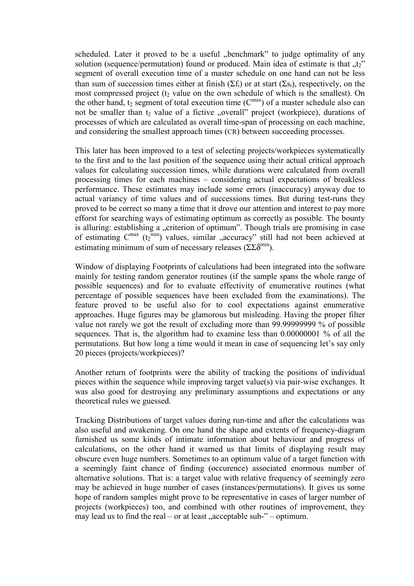scheduled. Later it proved to be a useful "benchmark" to judge optimality of any solution (sequence/permutation) found or produced. Main idea of estimate is that  $\mu$ <sub>z</sub><sup>"</sup> segment of overall execution time of a master schedule on one hand can not be less than sum of succession times either at finish ( $\Sigma f_i$ ) or at start ( $\Sigma s_i$ ), respectively, on the most compressed project ( $t<sub>2</sub>$  value on the own schedule of which is the smallest). On the other hand,  $t_2$  segment of total execution time ( $C^{max}$ ) of a master schedule also can not be smaller than  $t_2$  value of a fictive "overall" project (workpiece), durations of processes of which are calculated as overall time-span of processing on each machine, and considering the smallest approach times (CR) between succeeding processes.

This later has been improved to a test of selecting projects/workpieces systematically to the first and to the last position of the sequence using their actual critical approach values for calculating succession times, while durations were calculated from overall processing times for each machines – considering actual expectations of breakless performance. These estimates may include some errors (inaccuracy) anyway due to actual variancy of time values and of successions times. But during test-runs they proved to be correct so many a time that it drove our attention and interest to pay more efforst for searching ways of estimating optimum as correctly as possible. The bounty is alluring: establishing a "criterion of optimum". Though trials are promising in case of estimating  $C^{max}$  ( $t_2^{min}$ ) values, similar "accuracy" still had not been achieved at estimating minimum of sum of necessary releases ( $\Sigma \Sigma \delta^{\min}$ ).

Window of displaying Footprints of calculations had been integrated into the software mainly for testing random generator routines (if the sample spans the whole range of possible sequences) and for to evaluate effectivity of enumerative routines (what percentage of possible sequences have been excluded from the examinations). The feature proved to be useful also for to cool expectations against enumerative approaches. Huge figures may be glamorous but misleading. Having the proper filter value not rarely we got the result of excluding more than 99.99999999 % of possible sequences. That is, the algorithm had to examine less than 0.00000001 % of all the permutations. But how long a time would it mean in case of sequencing let's say only 20 pieces (projects/workpieces)?

Another return of footprints were the ability of tracking the positions of individual pieces within the sequence while improving target value(s) via pair-wise exchanges. It was also good for destroying any preliminary assumptions and expectations or any theoretical rules we guessed.

Tracking Distributions of target values during run-time and after the calculations was also useful and awakening. On one hand the shape and extents of frequency-diagram furnished us some kinds of intimate information about behaviour and progress of calculations, on the other hand it warned us that limits of displaying result may obscure even huge numbers. Sometimes to an optimum value of a target function with a seemingly faint chance of finding (occurence) associated enormous number of alternative solutions. That is: a target value with relative frequency of seemingly zero may be achieved in huge number of cases (instances/permutations). It gives us some hope of random samples might prove to be representative in cases of larger number of projects (workpieces) too, and combined with other routines of improvement, they may lead us to find the real – or at least  $\alpha$  acceptable sub-" – optimum.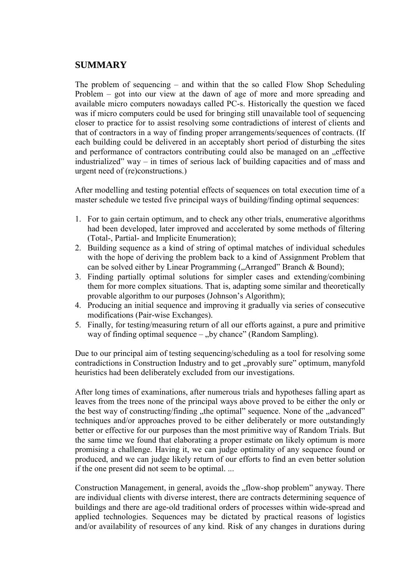# **SUMMARY**

The problem of sequencing – and within that the so called Flow Shop Scheduling Problem – got into our view at the dawn of age of more and more spreading and available micro computers nowadays called PC-s. Historically the question we faced was if micro computers could be used for bringing still unavailable tool of sequencing closer to practice for to assist resolving some contradictions of interest of clients and that of contractors in a way of finding proper arrangements/sequences of contracts. (If each building could be delivered in an acceptably short period of disturbing the sites and performance of contractors contributing could also be managed on an "effective industrialized" way – in times of serious lack of building capacities and of mass and urgent need of (re)constructions.)

After modelling and testing potential effects of sequences on total execution time of a master schedule we tested five principal ways of building/finding optimal sequences:

- 1. For to gain certain optimum, and to check any other trials, enumerative algorithms had been developed, later improved and accelerated by some methods of filtering (Total-, Partial- and Implicite Enumeration);
- 2. Building sequence as a kind of string of optimal matches of individual schedules with the hope of deriving the problem back to a kind of Assignment Problem that can be solved either by Linear Programming ("Arranged" Branch & Bound);
- 3. Finding partially optimal solutions for simpler cases and extending/combining them for more complex situations. That is, adapting some similar and theoretically provable algorithm to our purposes (Johnson's Algorithm);
- 4. Producing an initial sequence and improving it gradually via series of consecutive modifications (Pair-wise Exchanges).
- 5. Finally, for testing/measuring return of all our efforts against, a pure and primitive way of finding optimal sequence – "by chance" (Random Sampling).

Due to our principal aim of testing sequencing/scheduling as a tool for resolving some contradictions in Construction Industry and to get "provably sure" optimum, manyfold heuristics had been deliberately excluded from our investigations.

After long times of examinations, after numerous trials and hypotheses falling apart as leaves from the trees none of the principal ways above proved to be either the only or the best way of constructing/finding "the optimal" sequence. None of the "advanced" techniques and/or approaches proved to be either deliberately or more outstandingly better or effective for our purposes than the most primitive way of Random Trials. But the same time we found that elaborating a proper estimate on likely optimum is more promising a challenge. Having it, we can judge optimality of any sequence found or produced, and we can judge likely return of our efforts to find an even better solution if the one present did not seem to be optimal. ...

Construction Management, in general, avoids the "flow-shop problem" anyway. There are individual clients with diverse interest, there are contracts determining sequence of buildings and there are age-old traditional orders of processes within wide-spread and applied technologies. Sequences may be dictated by practical reasons of logistics and/or availability of resources of any kind. Risk of any changes in durations during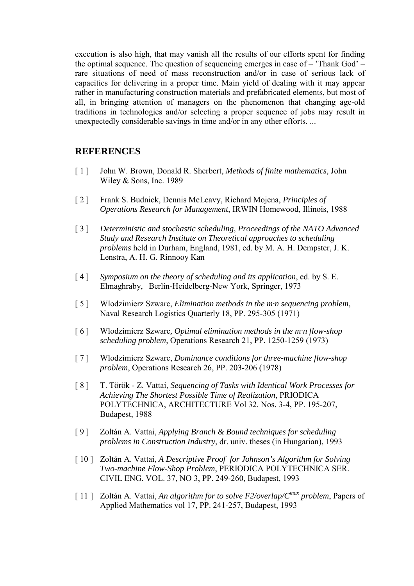execution is also high, that may vanish all the results of our efforts spent for finding the optimal sequence. The question of sequencing emerges in case of – 'Thank God' – rare situations of need of mass reconstruction and/or in case of serious lack of capacities for delivering in a proper time. Main yield of dealing with it may appear rather in manufacturing construction materials and prefabricated elements, but most of all, in bringing attention of managers on the phenomenon that changing age-old traditions in technologies and/or selecting a proper sequence of jobs may result in unexpectedly considerable savings in time and/or in any other efforts. ...

# **REFERENCES**

- [ 1 ] John W. Brown, Donald R. Sherbert, *Methods of finite mathematics*, John Wiley & Sons, Inc. 1989
- [ 2 ] Frank S. Budnick, Dennis McLeavy, Richard Mojena, *Principles of Operations Research for Management*, IRWIN Homewood, Illinois, 1988
- [ 3 ] *Deterministic and stochastic scheduling, Proceedings of the NATO Advanced Study and Research Institute on Theoretical approaches to scheduling problems* held in Durham, England, 1981, ed. by M. A. H. Dempster, J. K. Lenstra, A. H. G. Rinnooy Kan
- [ 4 ] *Symposium on the theory of scheduling and its application*, ed. by S. E. Elmaghraby, Berlin-Heidelberg-New York, Springer, 1973
- [ 5 ] Wlodzimierz Szwarc, *Elimination methods in the m·n sequencing problem*, Naval Research Logistics Quarterly 18, PP. 295-305 (1971)
- [ 6 ] Wlodzimierz Szwarc*, Optimal elimination methods in the m·n flow-shop scheduling problem*, Operations Research 21, PP. 1250-1259 (1973)
- [ 7 ] Wlodzimierz Szwarc, *Dominance conditions for three-machine flow-shop problem*, Operations Research 26, PP. 203-206 (1978)
- [8] T. Török Z. Vattai, *Sequencing of Tasks with Identical Work Processes for Achieving The Shortest Possible Time of Realization*, PRIODICA POLYTECHNICA, ARCHITECTURE Vol 32. Nos. 3-4, PP. 195-207, Budapest, 1988
- [ 9 ] Zoltán A. Vattai, *Applying Branch & Bound techniques for scheduling problems in Construction Industry*, dr. univ. theses (in Hungarian), 1993
- [ 10 ] Zoltán A. Vattai, *A Descriptive Proof for Johnson's Algorithm for Solving Two-machine Flow-Shop Problem*, PERIODICA POLYTECHNICA SER. CIVIL ENG. VOL. 37, NO 3, PP. 249-260, Budapest, 1993
- [ 11 ] Zoltán A. Vattai, *An algorithm for to solve F2/overlap/Cmax problem*, Papers of Applied Mathematics vol 17, PP. 241-257, Budapest, 1993